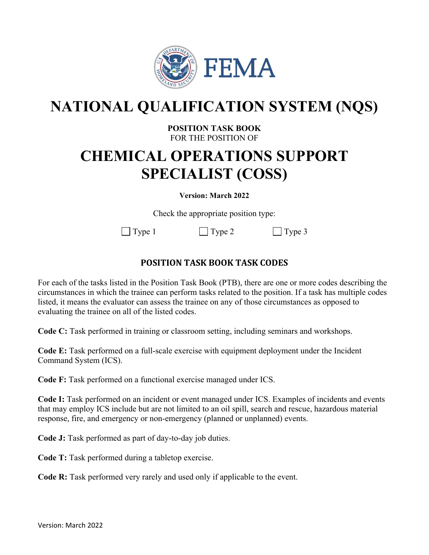

# **NATIONAL QUALIFICATION SYSTEM (NQS)**

## **POSITION TASK BOOK**  FOR THE POSITION OF

# **CHEMICAL OPERATIONS SUPPORT SPECIALIST (COSS)**

#### **Version: March 2022**

Check the appropriate position type:

 $\vert$  Type 1  $\vert$  Type 2  $\vert$  Type 3

# **POSITION TASK BOOK TASK CODES**

For each of the tasks listed in the Position Task Book (PTB), there are one or more codes describing the circumstances in which the trainee can perform tasks related to the position. If a task has multiple codes listed, it means the evaluator can assess the trainee on any of those circumstances as opposed to evaluating the trainee on all of the listed codes.

**Code C:** Task performed in training or classroom setting, including seminars and workshops.

**Code E:** Task performed on a full-scale exercise with equipment deployment under the Incident Command System (ICS).

**Code F:** Task performed on a functional exercise managed under ICS.

**Code I:** Task performed on an incident or event managed under ICS. Examples of incidents and events that may employ ICS include but are not limited to an oil spill, search and rescue, hazardous material response, fire, and emergency or non-emergency (planned or unplanned) events.

**Code J:** Task performed as part of day-to-day job duties.

**Code T:** Task performed during a tabletop exercise.

**Code R:** Task performed very rarely and used only if applicable to the event.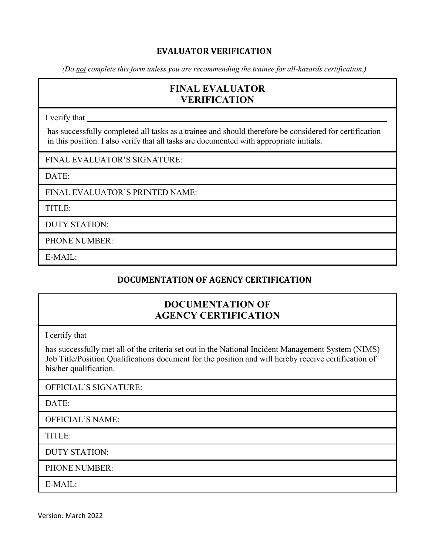## **EVALUATOR VERIFICATION**

*(Do not complete this form unless you are recommending the trainee for all-hazards certification.)* 

# **FINAL EVALUATOR VERIFICATION**

I verify that

has successfully completed all tasks as a trainee and should therefore be considered for certification in this position. I also verify that all tasks are documented with appropriate initials.

FINAL EVALUATOR'S SIGNATURE:

DATE:

FINAL EVALUATOR'S PRINTED NAME:

TITLE:

DUTY STATION:

PHONE NUMBER:

E-MAIL:

## **DOCUMENTATION OF AGENCY CERTIFICATION**

# **DOCUMENTATION OF AGENCY CERTIFICATION**

I certify that

has successfully met all of the criteria set out in the National Incident Management System (NIMS) Job Title/Position Qualifications document for the position and will hereby receive certification of his/her qualification.

OFFICIAL'S SIGNATURE:

DATE:

OFFICIAL'S NAME:

TITLE:

DUTY STATION:

PHONE NUMBER:

E-MAIL:

Version: March 2022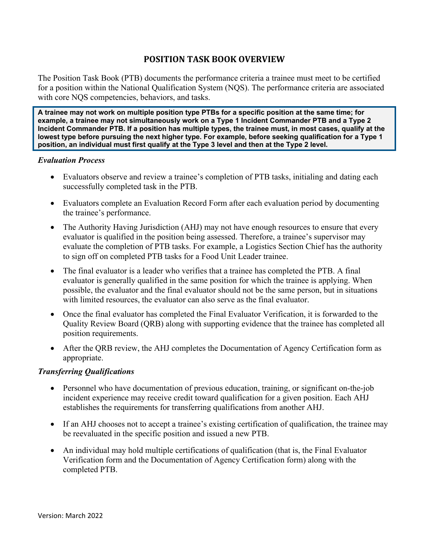## **POSITION TASK BOOK OVERVIEW**

The Position Task Book (PTB) documents the performance criteria a trainee must meet to be certified for a position within the National Qualification System (NQS). The performance criteria are associated with core NOS competencies, behaviors, and tasks.

**A trainee may not work on multiple position type PTBs for a specific position at the same time; for example, a trainee may not simultaneously work on a Type 1 Incident Commander PTB and a Type 2 Incident Commander PTB. If a position has multiple types, the trainee must, in most cases, qualify at the lowest type before pursuing the next higher type. For example, before seeking qualification for a Type 1 position, an individual must first qualify at the Type 3 level and then at the Type 2 level.** 

#### *Evaluation Process*

- Evaluators observe and review a trainee's completion of PTB tasks, initialing and dating each successfully completed task in the PTB.
- Evaluators complete an Evaluation Record Form after each evaluation period by documenting the trainee's performance.
- The Authority Having Jurisdiction (AHJ) may not have enough resources to ensure that every evaluator is qualified in the position being assessed. Therefore, a trainee's supervisor may evaluate the completion of PTB tasks. For example, a Logistics Section Chief has the authority to sign off on completed PTB tasks for a Food Unit Leader trainee.
- The final evaluator is a leader who verifies that a trainee has completed the PTB. A final evaluator is generally qualified in the same position for which the trainee is applying. When possible, the evaluator and the final evaluator should not be the same person, but in situations with limited resources, the evaluator can also serve as the final evaluator.
- Once the final evaluator has completed the Final Evaluator Verification, it is forwarded to the Quality Review Board (QRB) along with supporting evidence that the trainee has completed all position requirements.
- After the ORB review, the AHJ completes the Documentation of Agency Certification form as appropriate.

#### *Transferring Qualifications*

- Personnel who have documentation of previous education, training, or significant on-the-job incident experience may receive credit toward qualification for a given position. Each AHJ establishes the requirements for transferring qualifications from another AHJ.
- If an AHJ chooses not to accept a trainee's existing certification of qualification, the trainee may be reevaluated in the specific position and issued a new PTB.
- An individual may hold multiple certifications of qualification (that is, the Final Evaluator Verification form and the Documentation of Agency Certification form) along with the completed PTB.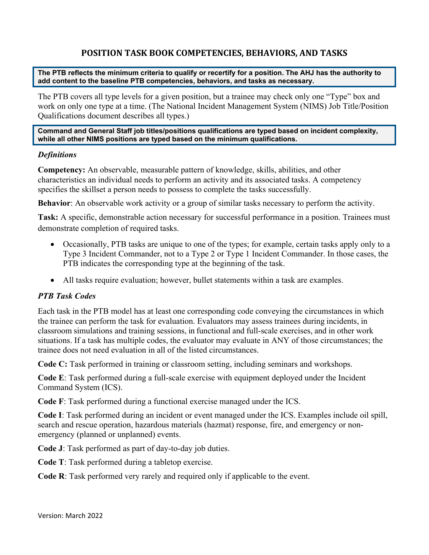# **POSITION TASK BOOK COMPETENCIES, BEHAVIORS, AND TASKS**

**The PTB reflects the minimum criteria to qualify or recertify for a position. The AHJ has the authority to add content to the baseline PTB competencies, behaviors, and tasks as necessary.**

The PTB covers all type levels for a given position, but a trainee may check only one "Type" box and work on only one type at a time. (The National Incident Management System (NIMS) Job Title/Position Qualifications document describes all types.)

#### **Command and General Staff job titles/positions qualifications are typed based on incident complexity, while all other NIMS positions are typed based on the minimum qualifications.**

#### *Definitions*

**Competency:** An observable, measurable pattern of knowledge, skills, abilities, and other characteristics an individual needs to perform an activity and its associated tasks. A competency specifies the skillset a person needs to possess to complete the tasks successfully.

**Behavior**: An observable work activity or a group of similar tasks necessary to perform the activity.

**Task:** A specific, demonstrable action necessary for successful performance in a position. Trainees must demonstrate completion of required tasks.

- Occasionally, PTB tasks are unique to one of the types; for example, certain tasks apply only to a Type 3 Incident Commander, not to a Type 2 or Type 1 Incident Commander. In those cases, the PTB indicates the corresponding type at the beginning of the task.
- All tasks require evaluation; however, bullet statements within a task are examples.

## *PTB Task Codes*

Each task in the PTB model has at least one corresponding code conveying the circumstances in which the trainee can perform the task for evaluation. Evaluators may assess trainees during incidents, in classroom simulations and training sessions, in functional and full-scale exercises, and in other work situations. If a task has multiple codes, the evaluator may evaluate in ANY of those circumstances; the trainee does not need evaluation in all of the listed circumstances.

**Code C:** Task performed in training or classroom setting, including seminars and workshops.

**Code E**: Task performed during a full-scale exercise with equipment deployed under the Incident Command System (ICS).

**Code F**: Task performed during a functional exercise managed under the ICS.

**Code I**: Task performed during an incident or event managed under the ICS. Examples include oil spill, search and rescue operation, hazardous materials (hazmat) response, fire, and emergency or nonemergency (planned or unplanned) events.

**Code J**: Task performed as part of day-to-day job duties.

**Code T**: Task performed during a tabletop exercise.

**Code R**: Task performed very rarely and required only if applicable to the event.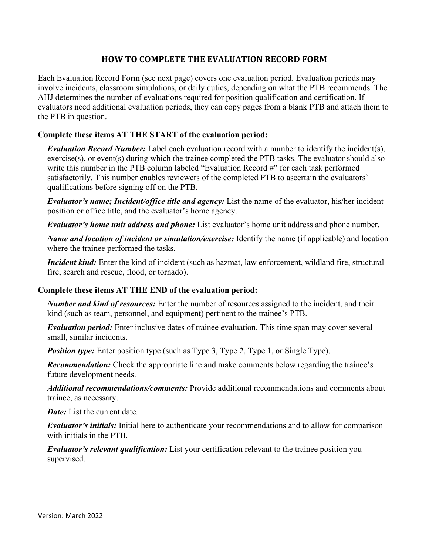## **HOW TO COMPLETE THE EVALUATION RECORD FORM**

Each Evaluation Record Form (see next page) covers one evaluation period. Evaluation periods may involve incidents, classroom simulations, or daily duties, depending on what the PTB recommends. The AHJ determines the number of evaluations required for position qualification and certification. If evaluators need additional evaluation periods, they can copy pages from a blank PTB and attach them to the PTB in question.

## **Complete these items AT THE START of the evaluation period:**

*Evaluation Record Number:* Label each evaluation record with a number to identify the incident(s), exercise(s), or event(s) during which the trainee completed the PTB tasks. The evaluator should also write this number in the PTB column labeled "Evaluation Record #" for each task performed satisfactorily. This number enables reviewers of the completed PTB to ascertain the evaluators' qualifications before signing off on the PTB.

*Evaluator's name; Incident/office title and agency:* List the name of the evaluator, his/her incident position or office title, and the evaluator's home agency.

*Evaluator's home unit address and phone:* List evaluator's home unit address and phone number.

*Name and location of incident or simulation/exercise:* Identify the name (if applicable) and location where the trainee performed the tasks.

*Incident kind:* Enter the kind of incident (such as hazmat, law enforcement, wildland fire, structural fire, search and rescue, flood, or tornado).

## **Complete these items AT THE END of the evaluation period:**

*Number and kind of resources:* Enter the number of resources assigned to the incident, and their kind (such as team, personnel, and equipment) pertinent to the trainee's PTB.

*Evaluation period:* Enter inclusive dates of trainee evaluation. This time span may cover several small, similar incidents.

*Position type:* Enter position type (such as Type 3, Type 2, Type 1, or Single Type).

**Recommendation:** Check the appropriate line and make comments below regarding the trainee's future development needs.

*Additional recommendations/comments:* Provide additional recommendations and comments about trainee, as necessary.

*Date:* List the current date.

*Evaluator's initials:* Initial here to authenticate your recommendations and to allow for comparison with initials in the PTB.

*Evaluator's relevant qualification:* List your certification relevant to the trainee position you supervised.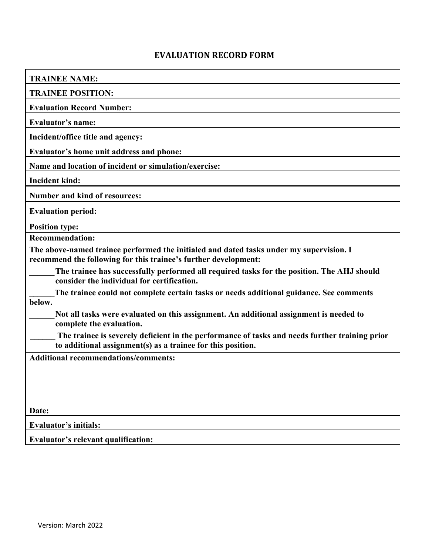# **EVALUATION RECORD FORM**

| <b>TRAINEE NAME:</b>                                                                                                                                          |
|---------------------------------------------------------------------------------------------------------------------------------------------------------------|
| <b>TRAINEE POSITION:</b>                                                                                                                                      |
| <b>Evaluation Record Number:</b>                                                                                                                              |
| <b>Evaluator's name:</b>                                                                                                                                      |
| Incident/office title and agency:                                                                                                                             |
| Evaluator's home unit address and phone:                                                                                                                      |
| Name and location of incident or simulation/exercise:                                                                                                         |
| <b>Incident kind:</b>                                                                                                                                         |
| <b>Number and kind of resources:</b>                                                                                                                          |
| <b>Evaluation period:</b>                                                                                                                                     |
| <b>Position type:</b>                                                                                                                                         |
| <b>Recommendation:</b>                                                                                                                                        |
| The above-named trainee performed the initialed and dated tasks under my supervision. I<br>recommend the following for this trainee's further development:    |
| The trainee has successfully performed all required tasks for the position. The AHJ should<br>consider the individual for certification.                      |
| The trainee could not complete certain tasks or needs additional guidance. See comments<br>below.                                                             |
| Not all tasks were evaluated on this assignment. An additional assignment is needed to<br>complete the evaluation.                                            |
| The trainee is severely deficient in the performance of tasks and needs further training prior<br>to additional assignment(s) as a trainee for this position. |
| <b>Additional recommendations/comments:</b>                                                                                                                   |
|                                                                                                                                                               |
|                                                                                                                                                               |
|                                                                                                                                                               |
| Date:                                                                                                                                                         |
| Evaluator's initials:                                                                                                                                         |
| Evaluator's relevant qualification:                                                                                                                           |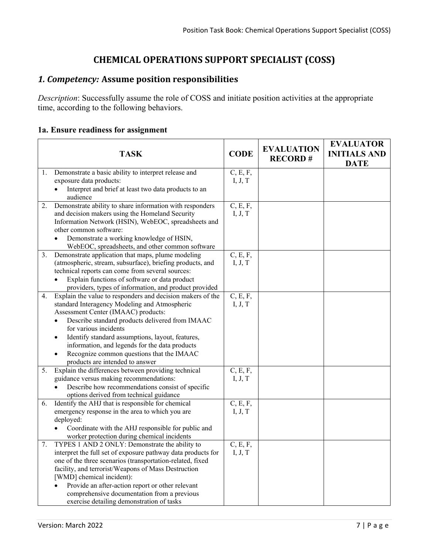# **CHEMICAL OPERATIONS SUPPORT SPECIALIST (COSS)**

# *1. Competency:* **Assume position responsibilities**

*Description*: Successfully assume the role of COSS and initiate position activities at the appropriate time, according to the following behaviors.

## **1a. Ensure readiness for assignment**

|    | <b>TASK</b>                                                                                          | <b>CODE</b>         | <b>EVALUATION</b><br><b>RECORD#</b> | <b>EVALUATOR</b><br><b>INITIALS AND</b><br><b>DATE</b> |
|----|------------------------------------------------------------------------------------------------------|---------------------|-------------------------------------|--------------------------------------------------------|
| 1. | Demonstrate a basic ability to interpret release and                                                 | C, E, F,            |                                     |                                                        |
|    | exposure data products:                                                                              | I, J, T             |                                     |                                                        |
|    | Interpret and brief at least two data products to an                                                 |                     |                                     |                                                        |
|    | audience                                                                                             |                     |                                     |                                                        |
| 2. | Demonstrate ability to share information with responders                                             | C, E, F,            |                                     |                                                        |
|    | and decision makers using the Homeland Security                                                      | I, J, T             |                                     |                                                        |
|    | Information Network (HSIN), WebEOC, spreadsheets and<br>other common software:                       |                     |                                     |                                                        |
|    |                                                                                                      |                     |                                     |                                                        |
|    | Demonstrate a working knowledge of HSIN,<br>WebEOC, spreadsheets, and other common software          |                     |                                     |                                                        |
| 3. | Demonstrate application that maps, plume modeling                                                    | C, E, F,            |                                     |                                                        |
|    | (atmospheric, stream, subsurface), briefing products, and                                            | I, J, T             |                                     |                                                        |
|    | technical reports can come from several sources:                                                     |                     |                                     |                                                        |
|    | Explain functions of software or data product                                                        |                     |                                     |                                                        |
|    | providers, types of information, and product provided                                                |                     |                                     |                                                        |
| 4. | Explain the value to responders and decision makers of the                                           | C, E, F,            |                                     |                                                        |
|    | standard Interagency Modeling and Atmospheric                                                        | I, J, T             |                                     |                                                        |
|    | Assessment Center (IMAAC) products:                                                                  |                     |                                     |                                                        |
|    | Describe standard products delivered from IMAAC                                                      |                     |                                     |                                                        |
|    | for various incidents                                                                                |                     |                                     |                                                        |
|    | Identify standard assumptions, layout, features,                                                     |                     |                                     |                                                        |
|    | information, and legends for the data products                                                       |                     |                                     |                                                        |
|    | Recognize common questions that the IMAAC                                                            |                     |                                     |                                                        |
|    | products are intended to answer                                                                      |                     |                                     |                                                        |
| 5. | Explain the differences between providing technical                                                  | C, E, F,            |                                     |                                                        |
|    | guidance versus making recommendations:                                                              | I, J, T             |                                     |                                                        |
|    | Describe how recommendations consist of specific                                                     |                     |                                     |                                                        |
|    | options derived from technical guidance                                                              |                     |                                     |                                                        |
| 6. | Identify the AHJ that is responsible for chemical<br>emergency response in the area to which you are | C, E, F,<br>I, J, T |                                     |                                                        |
|    | deployed:                                                                                            |                     |                                     |                                                        |
|    | Coordinate with the AHJ responsible for public and                                                   |                     |                                     |                                                        |
|    | worker protection during chemical incidents                                                          |                     |                                     |                                                        |
| 7. | TYPES 1 AND 2 ONLY: Demonstrate the ability to                                                       | C, E, F,            |                                     |                                                        |
|    | interpret the full set of exposure pathway data products for                                         | I, J, T             |                                     |                                                        |
|    | one of the three scenarios (transportation-related, fixed                                            |                     |                                     |                                                        |
|    | facility, and terrorist/Weapons of Mass Destruction                                                  |                     |                                     |                                                        |
|    | [WMD] chemical incident):                                                                            |                     |                                     |                                                        |
|    | Provide an after-action report or other relevant                                                     |                     |                                     |                                                        |
|    | comprehensive documentation from a previous                                                          |                     |                                     |                                                        |
|    | exercise detailing demonstration of tasks                                                            |                     |                                     |                                                        |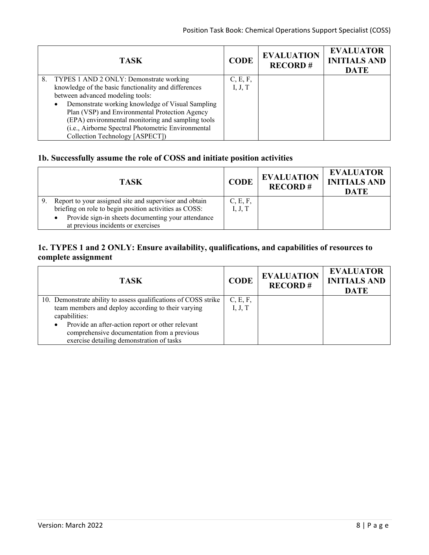| <b>TASK</b>                                          | <b>CODE</b> | <b>EVALUATION</b><br><b>RECORD#</b> | <b>EVALUATOR</b><br><b>INITIALS AND</b><br><b>DATE</b> |
|------------------------------------------------------|-------------|-------------------------------------|--------------------------------------------------------|
| 8. TYPES 1 AND 2 ONLY: Demonstrate working           | C, E, F,    |                                     |                                                        |
| knowledge of the basic functionality and differences | I, J, T     |                                     |                                                        |
| between advanced modeling tools:                     |             |                                     |                                                        |
| Demonstrate working knowledge of Visual Sampling     |             |                                     |                                                        |
| Plan (VSP) and Environmental Protection Agency       |             |                                     |                                                        |
| (EPA) environmental monitoring and sampling tools    |             |                                     |                                                        |
| (i.e., Airborne Spectral Photometric Environmental   |             |                                     |                                                        |
| Collection Technology [ASPECT])                      |             |                                     |                                                        |

## **1b. Successfully assume the role of COSS and initiate position activities**

| <b>TASK</b>                                                     | <b>CODE</b> | <b>EVALUATION</b><br><b>RECORD#</b> | <b>EVALUATOR</b><br><b>INITIALS AND</b><br><b>DATE</b> |
|-----------------------------------------------------------------|-------------|-------------------------------------|--------------------------------------------------------|
| Report to your assigned site and supervisor and obtain          | C, E, F,    |                                     |                                                        |
| briefing on role to begin position activities as COSS:          | I, J, T     |                                     |                                                        |
| Provide sign-in sheets documenting your attendance<br>$\bullet$ |             |                                     |                                                        |
| at previous incidents or exercises                              |             |                                     |                                                        |

## **1c. TYPES 1 and 2 ONLY: Ensure availability, qualifications, and capabilities of resources to complete assignment**

| <b>TASK</b>                                                                                                                                               | <b>CODE</b>         | <b>EVALUATION</b><br><b>RECORD#</b> | <b>EVALUATOR</b><br><b>INITIALS AND</b><br><b>DATE</b> |
|-----------------------------------------------------------------------------------------------------------------------------------------------------------|---------------------|-------------------------------------|--------------------------------------------------------|
| 10. Demonstrate ability to assess qualifications of COSS strike<br>team members and deploy according to their varying<br>capabilities:                    | C, E, F,<br>I, J, T |                                     |                                                        |
| Provide an after-action report or other relevant<br>$\bullet$<br>comprehensive documentation from a previous<br>exercise detailing demonstration of tasks |                     |                                     |                                                        |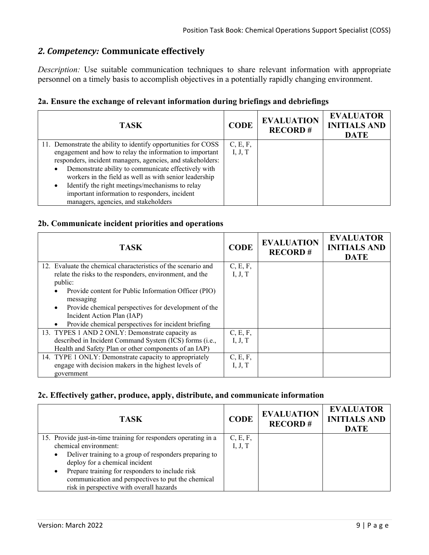# *2. Competency:* **Communicate effectively**

*Description:* Use suitable communication techniques to share relevant information with appropriate personnel on a timely basis to accomplish objectives in a potentially rapidly changing environment.

|  |  |  |  | 2a. Ensure the exchange of relevant information during briefings and debriefings |  |  |
|--|--|--|--|----------------------------------------------------------------------------------|--|--|
|  |  |  |  |                                                                                  |  |  |

| <b>TASK</b>                                                      | <b>CODE</b> | <b>EVALUATION</b><br><b>RECORD#</b> | <b>EVALUATOR</b><br><b>INITIALS AND</b><br><b>DATE</b> |
|------------------------------------------------------------------|-------------|-------------------------------------|--------------------------------------------------------|
| 11. Demonstrate the ability to identify opportunities for COSS   | C, E, F,    |                                     |                                                        |
| engagement and how to relay the information to important         | I, J, T     |                                     |                                                        |
| responders, incident managers, agencies, and stakeholders:       |             |                                     |                                                        |
| Demonstrate ability to communicate effectively with<br>$\bullet$ |             |                                     |                                                        |
| workers in the field as well as with senior leadership           |             |                                     |                                                        |
| Identify the right meetings/mechanisms to relay<br>$\bullet$     |             |                                     |                                                        |
| important information to responders, incident                    |             |                                     |                                                        |
| managers, agencies, and stakeholders                             |             |                                     |                                                        |

## **2b. Communicate incident priorities and operations**

| <b>TASK</b>                                                   | <b>CODE</b> | <b>EVALUATION</b><br><b>RECORD#</b> | <b>EVALUATOR</b><br><b>INITIALS AND</b><br><b>DATE</b> |
|---------------------------------------------------------------|-------------|-------------------------------------|--------------------------------------------------------|
| 12. Evaluate the chemical characteristics of the scenario and | C, E, F,    |                                     |                                                        |
| relate the risks to the responders, environment, and the      | I, J, T     |                                     |                                                        |
| public:                                                       |             |                                     |                                                        |
| Provide content for Public Information Officer (PIO)          |             |                                     |                                                        |
| messaging                                                     |             |                                     |                                                        |
| Provide chemical perspectives for development of the          |             |                                     |                                                        |
| Incident Action Plan (IAP)                                    |             |                                     |                                                        |
| Provide chemical perspectives for incident briefing           |             |                                     |                                                        |
| 13. TYPES 1 AND 2 ONLY: Demonstrate capacity as               | C, E, F,    |                                     |                                                        |
| described in Incident Command System (ICS) forms (i.e.,       | I, J, T     |                                     |                                                        |
| Health and Safety Plan or other components of an IAP)         |             |                                     |                                                        |
| 14. TYPE 1 ONLY: Demonstrate capacity to appropriately        | C, E, F,    |                                     |                                                        |
| engage with decision makers in the highest levels of          | I, J, T     |                                     |                                                        |
| government                                                    |             |                                     |                                                        |

## **2c. Effectively gather, produce, apply, distribute, and communicate information**

| <b>TASK</b>                                                         | <b>CODE</b> | <b>EVALUATION</b><br><b>RECORD#</b> | <b>EVALUATOR</b><br><b>INITIALS AND</b><br><b>DATE</b> |
|---------------------------------------------------------------------|-------------|-------------------------------------|--------------------------------------------------------|
| 15. Provide just-in-time training for responders operating in a     | C, E, F,    |                                     |                                                        |
| chemical environment:                                               | I, J, T     |                                     |                                                        |
| Deliver training to a group of responders preparing to<br>$\bullet$ |             |                                     |                                                        |
| deploy for a chemical incident                                      |             |                                     |                                                        |
| Prepare training for responders to include risk<br>$\bullet$        |             |                                     |                                                        |
| communication and perspectives to put the chemical                  |             |                                     |                                                        |
| risk in perspective with overall hazards                            |             |                                     |                                                        |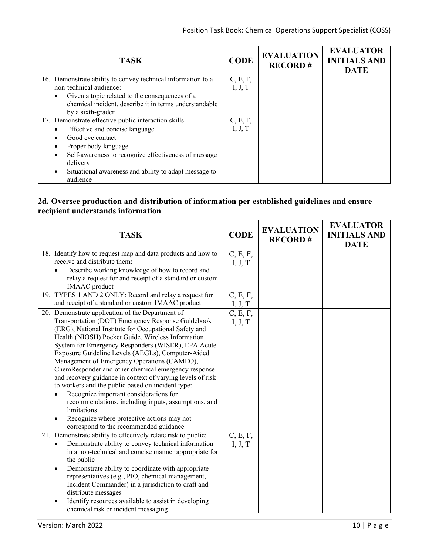| <b>TASK</b>                                                  | <b>CODE</b> | <b>EVALUATION</b><br><b>RECORD#</b> | <b>EVALUATOR</b><br><b>INITIALS AND</b><br><b>DATE</b> |
|--------------------------------------------------------------|-------------|-------------------------------------|--------------------------------------------------------|
| 16. Demonstrate ability to convey technical information to a | C, E, F,    |                                     |                                                        |
| non-technical audience:                                      | I, J, T     |                                     |                                                        |
| Given a topic related to the consequences of a               |             |                                     |                                                        |
| chemical incident, describe it in terms understandable       |             |                                     |                                                        |
| by a sixth-grader                                            |             |                                     |                                                        |
| 17. Demonstrate effective public interaction skills:         | C, E, F,    |                                     |                                                        |
| Effective and concise language                               | I, J, T     |                                     |                                                        |
| Good eye contact                                             |             |                                     |                                                        |
| Proper body language                                         |             |                                     |                                                        |
| Self-awareness to recognize effectiveness of message         |             |                                     |                                                        |
| delivery                                                     |             |                                     |                                                        |
| Situational awareness and ability to adapt message to        |             |                                     |                                                        |
| audience                                                     |             |                                     |                                                        |

# **2d. Oversee production and distribution of information per established guidelines and ensure recipient understands information**

| <b>TASK</b>                                                                                                                                                                                                                                                                                                                                                                                                                                                                                                                                                                                                                                                                                                                                                     | <b>CODE</b>         | <b>EVALUATION</b><br><b>RECORD#</b> | <b>EVALUATOR</b><br><b>INITIALS AND</b><br><b>DATE</b> |
|-----------------------------------------------------------------------------------------------------------------------------------------------------------------------------------------------------------------------------------------------------------------------------------------------------------------------------------------------------------------------------------------------------------------------------------------------------------------------------------------------------------------------------------------------------------------------------------------------------------------------------------------------------------------------------------------------------------------------------------------------------------------|---------------------|-------------------------------------|--------------------------------------------------------|
| 18. Identify how to request map and data products and how to<br>receive and distribute them:<br>Describe working knowledge of how to record and<br>relay a request for and receipt of a standard or custom<br><b>IMAAC</b> product                                                                                                                                                                                                                                                                                                                                                                                                                                                                                                                              | C, E, F,<br>I, J, T |                                     |                                                        |
| 19. TYPES 1 AND 2 ONLY: Record and relay a request for<br>and receipt of a standard or custom IMAAC product                                                                                                                                                                                                                                                                                                                                                                                                                                                                                                                                                                                                                                                     | C, E, F,<br>I, J, T |                                     |                                                        |
| 20. Demonstrate application of the Department of<br>Transportation (DOT) Emergency Response Guidebook<br>(ERG), National Institute for Occupational Safety and<br>Health (NIOSH) Pocket Guide, Wireless Information<br>System for Emergency Responders (WISER), EPA Acute<br>Exposure Guideline Levels (AEGLs), Computer-Aided<br>Management of Emergency Operations (CAMEO),<br>ChemResponder and other chemical emergency response<br>and recovery guidance in context of varying levels of risk<br>to workers and the public based on incident type:<br>Recognize important considerations for<br>recommendations, including inputs, assumptions, and<br>limitations<br>Recognize where protective actions may not<br>correspond to the recommended guidance | C, E, F,<br>I, J, T |                                     |                                                        |
| 21. Demonstrate ability to effectively relate risk to public:<br>Demonstrate ability to convey technical information<br>in a non-technical and concise manner appropriate for<br>the public<br>Demonstrate ability to coordinate with appropriate<br>$\bullet$<br>representatives (e.g., PIO, chemical management,<br>Incident Commander) in a jurisdiction to draft and<br>distribute messages<br>Identify resources available to assist in developing<br>chemical risk or incident messaging                                                                                                                                                                                                                                                                  | C, E, F,<br>I, J, T |                                     |                                                        |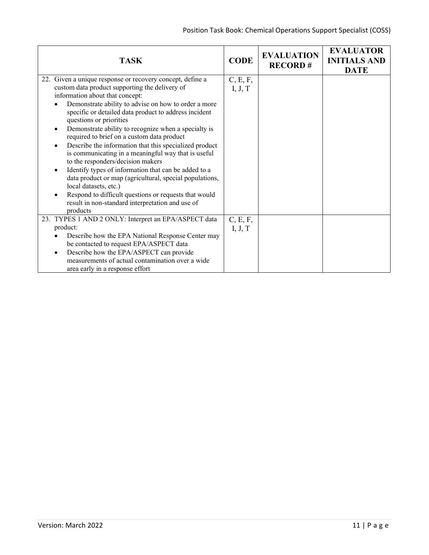| <b>TASK</b>                                                                                                                                                                                                                                                                                                                                                                                                                                                                                                                                                                                                                                                                                                                                                                                                                              | <b>CODE</b>         | <b>EVALUATION</b><br><b>RECORD#</b> | <b>EVALUATOR</b><br><b>INITIALS AND</b><br><b>DATE</b> |
|------------------------------------------------------------------------------------------------------------------------------------------------------------------------------------------------------------------------------------------------------------------------------------------------------------------------------------------------------------------------------------------------------------------------------------------------------------------------------------------------------------------------------------------------------------------------------------------------------------------------------------------------------------------------------------------------------------------------------------------------------------------------------------------------------------------------------------------|---------------------|-------------------------------------|--------------------------------------------------------|
| 22. Given a unique response or recovery concept, define a<br>custom data product supporting the delivery of<br>information about that concept:<br>Demonstrate ability to advise on how to order a more<br>specific or detailed data product to address incident<br>questions or priorities<br>Demonstrate ability to recognize when a specialty is<br>$\bullet$<br>required to brief on a custom data product<br>Describe the information that this specialized product<br>is communicating in a meaningful way that is useful<br>to the responders/decision makers<br>Identify types of information that can be added to a<br>data product or map (agricultural, special populations,<br>local datasets, etc.)<br>Respond to difficult questions or requests that would<br>result in non-standard interpretation and use of<br>products | C, E, F,<br>I, J, T |                                     |                                                        |
| 23. TYPES 1 AND 2 ONLY: Interpret an EPA/ASPECT data<br>product:<br>Describe how the EPA National Response Center may<br>be contacted to request EPA/ASPECT data<br>Describe how the EPA/ASPECT can provide<br>measurements of actual contamination over a wide<br>area early in a response effort                                                                                                                                                                                                                                                                                                                                                                                                                                                                                                                                       | C, E, F,<br>I, J, T |                                     |                                                        |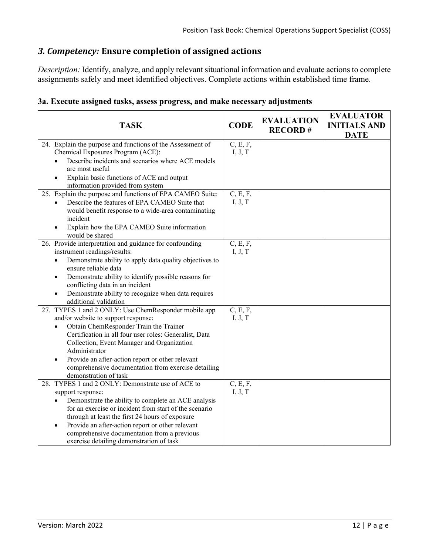# *3. Competency:* **Ensure completion of assigned actions**

*Description:* Identify, analyze, and apply relevant situational information and evaluate actions to complete assignments safely and meet identified objectives. Complete actions within established time frame.

| 3a. Execute assigned tasks, assess progress, and make necessary adjustments |  |  |
|-----------------------------------------------------------------------------|--|--|
|                                                                             |  |  |

| <b>TASK</b>                                                                                                                                                                                                                                                                                                                                                                                        | <b>CODE</b>         | <b>EVALUATION</b><br><b>RECORD#</b> | <b>EVALUATOR</b><br><b>INITIALS AND</b><br><b>DATE</b> |
|----------------------------------------------------------------------------------------------------------------------------------------------------------------------------------------------------------------------------------------------------------------------------------------------------------------------------------------------------------------------------------------------------|---------------------|-------------------------------------|--------------------------------------------------------|
| 24. Explain the purpose and functions of the Assessment of<br>Chemical Exposures Program (ACE):<br>Describe incidents and scenarios where ACE models<br>are most useful<br>Explain basic functions of ACE and output<br>information provided from system                                                                                                                                           | C, E, F,<br>I, J, T |                                     |                                                        |
| 25. Explain the purpose and functions of EPA CAMEO Suite:<br>Describe the features of EPA CAMEO Suite that<br>would benefit response to a wide-area contaminating<br>incident<br>Explain how the EPA CAMEO Suite information<br>would be shared                                                                                                                                                    | C, E, F,<br>I, J, T |                                     |                                                        |
| 26. Provide interpretation and guidance for confounding<br>instrument readings/results:<br>Demonstrate ability to apply data quality objectives to<br>$\bullet$<br>ensure reliable data<br>Demonstrate ability to identify possible reasons for<br>conflicting data in an incident<br>Demonstrate ability to recognize when data requires<br>additional validation                                 | C, E, F,<br>I, J, T |                                     |                                                        |
| 27. TYPES 1 and 2 ONLY: Use ChemResponder mobile app<br>and/or website to support response:<br>Obtain ChemResponder Train the Trainer<br>Certification in all four user roles: Generalist, Data<br>Collection, Event Manager and Organization<br>Administrator<br>Provide an after-action report or other relevant<br>comprehensive documentation from exercise detailing<br>demonstration of task | C, E, F,<br>I, J, T |                                     |                                                        |
| 28. TYPES 1 and 2 ONLY: Demonstrate use of ACE to<br>support response:<br>Demonstrate the ability to complete an ACE analysis<br>for an exercise or incident from start of the scenario<br>through at least the first 24 hours of exposure<br>Provide an after-action report or other relevant<br>comprehensive documentation from a previous<br>exercise detailing demonstration of task          | C, E, F,<br>I, J, T |                                     |                                                        |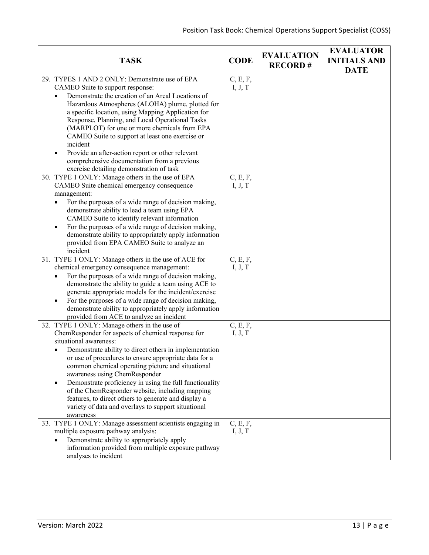| <b>TASK</b>                                                                                                                                                                                                                                                                                                                   | <b>CODE</b>         | <b>EVALUATION</b><br><b>RECORD#</b> | <b>EVALUATOR</b><br><b>INITIALS AND</b><br><b>DATE</b> |
|-------------------------------------------------------------------------------------------------------------------------------------------------------------------------------------------------------------------------------------------------------------------------------------------------------------------------------|---------------------|-------------------------------------|--------------------------------------------------------|
| 29. TYPES 1 AND 2 ONLY: Demonstrate use of EPA<br>CAMEO Suite to support response:                                                                                                                                                                                                                                            | C, E, F,<br>I, J, T |                                     |                                                        |
| Demonstrate the creation of an Areal Locations of<br>Hazardous Atmospheres (ALOHA) plume, plotted for<br>a specific location, using Mapping Application for<br>Response, Planning, and Local Operational Tasks<br>(MARPLOT) for one or more chemicals from EPA<br>CAMEO Suite to support at least one exercise or<br>incident |                     |                                     |                                                        |
| Provide an after-action report or other relevant<br>comprehensive documentation from a previous<br>exercise detailing demonstration of task                                                                                                                                                                                   |                     |                                     |                                                        |
| 30. TYPE 1 ONLY: Manage others in the use of EPA                                                                                                                                                                                                                                                                              | C, E, F,            |                                     |                                                        |
| CAMEO Suite chemical emergency consequence                                                                                                                                                                                                                                                                                    | I, J, T             |                                     |                                                        |
| management:                                                                                                                                                                                                                                                                                                                   |                     |                                     |                                                        |
| For the purposes of a wide range of decision making,<br>demonstrate ability to lead a team using EPA<br>CAMEO Suite to identify relevant information                                                                                                                                                                          |                     |                                     |                                                        |
| For the purposes of a wide range of decision making,<br>demonstrate ability to appropriately apply information<br>provided from EPA CAMEO Suite to analyze an<br>incident                                                                                                                                                     |                     |                                     |                                                        |
| 31. TYPE 1 ONLY: Manage others in the use of ACE for                                                                                                                                                                                                                                                                          | C, E, F,            |                                     |                                                        |
| chemical emergency consequence management:                                                                                                                                                                                                                                                                                    | I, J, T             |                                     |                                                        |
| For the purposes of a wide range of decision making,                                                                                                                                                                                                                                                                          |                     |                                     |                                                        |
| demonstrate the ability to guide a team using ACE to                                                                                                                                                                                                                                                                          |                     |                                     |                                                        |
| generate appropriate models for the incident/exercise                                                                                                                                                                                                                                                                         |                     |                                     |                                                        |
| For the purposes of a wide range of decision making,<br>demonstrate ability to appropriately apply information                                                                                                                                                                                                                |                     |                                     |                                                        |
| provided from ACE to analyze an incident                                                                                                                                                                                                                                                                                      |                     |                                     |                                                        |
| 32. TYPE 1 ONLY: Manage others in the use of                                                                                                                                                                                                                                                                                  | C, E, F,            |                                     |                                                        |
| ChemResponder for aspects of chemical response for                                                                                                                                                                                                                                                                            | I, J, T             |                                     |                                                        |
| situational awareness:                                                                                                                                                                                                                                                                                                        |                     |                                     |                                                        |
| Demonstrate ability to direct others in implementation                                                                                                                                                                                                                                                                        |                     |                                     |                                                        |
| or use of procedures to ensure appropriate data for a                                                                                                                                                                                                                                                                         |                     |                                     |                                                        |
| common chemical operating picture and situational<br>awareness using ChemResponder                                                                                                                                                                                                                                            |                     |                                     |                                                        |
| Demonstrate proficiency in using the full functionality                                                                                                                                                                                                                                                                       |                     |                                     |                                                        |
| of the ChemResponder website, including mapping                                                                                                                                                                                                                                                                               |                     |                                     |                                                        |
| features, to direct others to generate and display a                                                                                                                                                                                                                                                                          |                     |                                     |                                                        |
| variety of data and overlays to support situational                                                                                                                                                                                                                                                                           |                     |                                     |                                                        |
| awareness                                                                                                                                                                                                                                                                                                                     |                     |                                     |                                                        |
| 33. TYPE 1 ONLY: Manage assessment scientists engaging in<br>multiple exposure pathway analysis:                                                                                                                                                                                                                              | C, E, F,<br>I, J, T |                                     |                                                        |
| Demonstrate ability to appropriately apply                                                                                                                                                                                                                                                                                    |                     |                                     |                                                        |
| information provided from multiple exposure pathway                                                                                                                                                                                                                                                                           |                     |                                     |                                                        |
| analyses to incident                                                                                                                                                                                                                                                                                                          |                     |                                     |                                                        |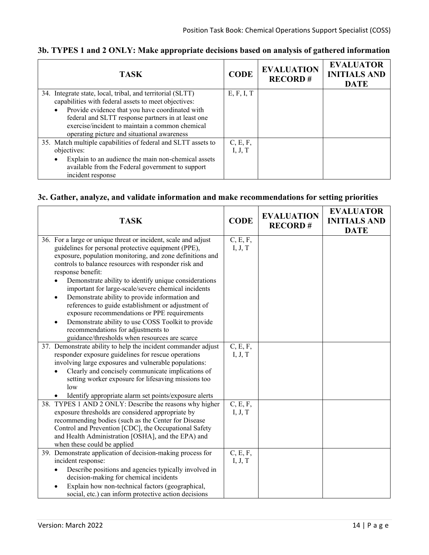| <b>TASK</b>                                                   | <b>CODE</b> | <b>EVALUATION</b><br><b>RECORD#</b> | <b>EVALUATOR</b><br><b>INITIALS AND</b><br><b>DATE</b> |
|---------------------------------------------------------------|-------------|-------------------------------------|--------------------------------------------------------|
| 34. Integrate state, local, tribal, and territorial (SLTT)    | E, F, I, T  |                                     |                                                        |
| capabilities with federal assets to meet objectives:          |             |                                     |                                                        |
| Provide evidence that you have coordinated with               |             |                                     |                                                        |
| federal and SLTT response partners in at least one            |             |                                     |                                                        |
| exercise/incident to maintain a common chemical               |             |                                     |                                                        |
| operating picture and situational awareness                   |             |                                     |                                                        |
| 35. Match multiple capabilities of federal and SLTT assets to | C, E, F,    |                                     |                                                        |
| objectives:                                                   | I, J, T     |                                     |                                                        |
| Explain to an audience the main non-chemical assets           |             |                                     |                                                        |
| available from the Federal government to support              |             |                                     |                                                        |
| incident response                                             |             |                                     |                                                        |

# **3b. TYPES 1 and 2 ONLY: Make appropriate decisions based on analysis of gathered information**

## **3c. Gather, analyze, and validate information and make recommendations for setting priorities**

| <b>TASK</b>                                                    | <b>CODE</b> | <b>EVALUATION</b><br><b>RECORD#</b> | <b>EVALUATOR</b><br><b>INITIALS AND</b><br><b>DATE</b> |
|----------------------------------------------------------------|-------------|-------------------------------------|--------------------------------------------------------|
| 36. For a large or unique threat or incident, scale and adjust | C, E, F,    |                                     |                                                        |
| guidelines for personal protective equipment (PPE),            | I, J, T     |                                     |                                                        |
| exposure, population monitoring, and zone definitions and      |             |                                     |                                                        |
| controls to balance resources with responder risk and          |             |                                     |                                                        |
| response benefit:                                              |             |                                     |                                                        |
| Demonstrate ability to identify unique considerations          |             |                                     |                                                        |
| important for large-scale/severe chemical incidents            |             |                                     |                                                        |
| Demonstrate ability to provide information and<br>$\bullet$    |             |                                     |                                                        |
| references to guide establishment or adjustment of             |             |                                     |                                                        |
| exposure recommendations or PPE requirements                   |             |                                     |                                                        |
| Demonstrate ability to use COSS Toolkit to provide             |             |                                     |                                                        |
| recommendations for adjustments to                             |             |                                     |                                                        |
| guidance/thresholds when resources are scarce                  |             |                                     |                                                        |
| 37. Demonstrate ability to help the incident commander adjust  | C, E, F,    |                                     |                                                        |
| responder exposure guidelines for rescue operations            | I, J, T     |                                     |                                                        |
| involving large exposures and vulnerable populations:          |             |                                     |                                                        |
| Clearly and concisely communicate implications of              |             |                                     |                                                        |
| setting worker exposure for lifesaving missions too            |             |                                     |                                                        |
| low                                                            |             |                                     |                                                        |
| Identify appropriate alarm set points/exposure alerts          |             |                                     |                                                        |
| 38. TYPES 1 AND 2 ONLY: Describe the reasons why higher        | C, E, F,    |                                     |                                                        |
| exposure thresholds are considered appropriate by              | I, J, T     |                                     |                                                        |
| recommending bodies (such as the Center for Disease            |             |                                     |                                                        |
| Control and Prevention [CDC], the Occupational Safety          |             |                                     |                                                        |
| and Health Administration [OSHA], and the EPA) and             |             |                                     |                                                        |
| when these could be applied                                    |             |                                     |                                                        |
| 39. Demonstrate application of decision-making process for     | C, E, F,    |                                     |                                                        |
| incident response:                                             | I, J, T     |                                     |                                                        |
| Describe positions and agencies typically involved in          |             |                                     |                                                        |
| decision-making for chemical incidents                         |             |                                     |                                                        |
| Explain how non-technical factors (geographical,               |             |                                     |                                                        |
| social, etc.) can inform protective action decisions           |             |                                     |                                                        |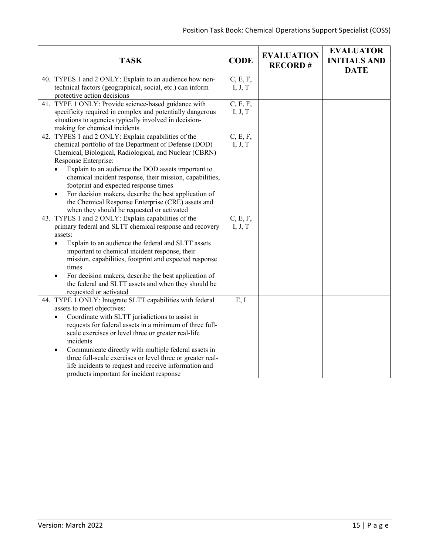| <b>TASK</b>                                                                                                                                                                                                                                                                                                                                                                                                                                                                                                           | <b>CODE</b>         | <b>EVALUATION</b><br><b>RECORD#</b> | <b>EVALUATOR</b><br><b>INITIALS AND</b><br><b>DATE</b> |
|-----------------------------------------------------------------------------------------------------------------------------------------------------------------------------------------------------------------------------------------------------------------------------------------------------------------------------------------------------------------------------------------------------------------------------------------------------------------------------------------------------------------------|---------------------|-------------------------------------|--------------------------------------------------------|
| 40. TYPES 1 and 2 ONLY: Explain to an audience how non-<br>technical factors (geographical, social, etc.) can inform<br>protective action decisions                                                                                                                                                                                                                                                                                                                                                                   | C, E, F,<br>I, J, T |                                     |                                                        |
| 41. TYPE 1 ONLY: Provide science-based guidance with<br>specificity required in complex and potentially dangerous<br>situations to agencies typically involved in decision-<br>making for chemical incidents                                                                                                                                                                                                                                                                                                          | C, E, F,<br>I, J, T |                                     |                                                        |
| 42. TYPES 1 and 2 ONLY: Explain capabilities of the<br>chemical portfolio of the Department of Defense (DOD)<br>Chemical, Biological, Radiological, and Nuclear (CBRN)<br>Response Enterprise:<br>Explain to an audience the DOD assets important to<br>chemical incident response, their mission, capabilities,<br>footprint and expected response times<br>For decision makers, describe the best application of<br>the Chemical Response Enterprise (CRE) assets and<br>when they should be requested or activated | C, E, F,<br>I, J, T |                                     |                                                        |
| 43. TYPES 1 and 2 ONLY: Explain capabilities of the<br>primary federal and SLTT chemical response and recovery<br>assets:<br>Explain to an audience the federal and SLTT assets<br>$\bullet$<br>important to chemical incident response, their<br>mission, capabilities, footprint and expected response<br>times<br>For decision makers, describe the best application of<br>the federal and SLTT assets and when they should be<br>requested or activated                                                           | C, E, F,<br>I, J, T |                                     |                                                        |
| 44. TYPE 1 ONLY: Integrate SLTT capabilities with federal<br>assets to meet objectives:<br>Coordinate with SLTT jurisdictions to assist in<br>requests for federal assets in a minimum of three full-<br>scale exercises or level three or greater real-life<br>incidents<br>Communicate directly with multiple federal assets in<br>$\bullet$<br>three full-scale exercises or level three or greater real-<br>life incidents to request and receive information and<br>products important for incident response     | E, I                |                                     |                                                        |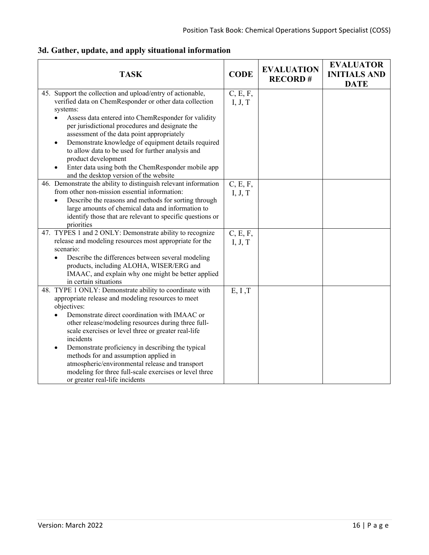| <b>TASK</b>                                                                                                                                                                                                                                            | <b>CODE</b>         | <b>EVALUATION</b><br><b>RECORD#</b> | <b>EVALUATOR</b><br><b>INITIALS AND</b><br><b>DATE</b> |
|--------------------------------------------------------------------------------------------------------------------------------------------------------------------------------------------------------------------------------------------------------|---------------------|-------------------------------------|--------------------------------------------------------|
| 45. Support the collection and upload/entry of actionable,<br>verified data on ChemResponder or other data collection<br>systems:                                                                                                                      | C, E, F,<br>I, J, T |                                     |                                                        |
| Assess data entered into ChemResponder for validity<br>per jurisdictional procedures and designate the<br>assessment of the data point appropriately                                                                                                   |                     |                                     |                                                        |
| Demonstrate knowledge of equipment details required<br>to allow data to be used for further analysis and<br>product development                                                                                                                        |                     |                                     |                                                        |
| Enter data using both the ChemResponder mobile app<br>and the desktop version of the website                                                                                                                                                           |                     |                                     |                                                        |
| 46. Demonstrate the ability to distinguish relevant information<br>from other non-mission essential information:                                                                                                                                       | C, E, F,<br>I, J, T |                                     |                                                        |
| Describe the reasons and methods for sorting through<br>$\bullet$<br>large amounts of chemical data and information to<br>identify those that are relevant to specific questions or<br>priorities                                                      |                     |                                     |                                                        |
| 47. TYPES 1 and 2 ONLY: Demonstrate ability to recognize                                                                                                                                                                                               | C, E, F,            |                                     |                                                        |
| release and modeling resources most appropriate for the<br>scenario:                                                                                                                                                                                   | I, J, T             |                                     |                                                        |
| Describe the differences between several modeling                                                                                                                                                                                                      |                     |                                     |                                                        |
| products, including ALOHA, WISER/ERG and                                                                                                                                                                                                               |                     |                                     |                                                        |
| IMAAC, and explain why one might be better applied<br>in certain situations                                                                                                                                                                            |                     |                                     |                                                        |
| 48. TYPE 1 ONLY: Demonstrate ability to coordinate with                                                                                                                                                                                                | E, I, T             |                                     |                                                        |
| appropriate release and modeling resources to meet<br>objectives:                                                                                                                                                                                      |                     |                                     |                                                        |
| Demonstrate direct coordination with IMAAC or<br>other release/modeling resources during three full-<br>scale exercises or level three or greater real-life<br>incidents                                                                               |                     |                                     |                                                        |
| Demonstrate proficiency in describing the typical<br>$\bullet$<br>methods for and assumption applied in<br>atmospheric/environmental release and transport<br>modeling for three full-scale exercises or level three<br>or greater real-life incidents |                     |                                     |                                                        |

# **3d. Gather, update, and apply situational information**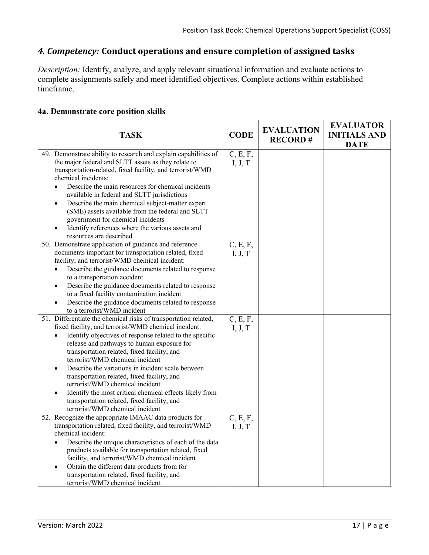# *4. Competency:* **Conduct operations and ensure completion of assigned tasks**

*Description:* Identify, analyze, and apply relevant situational information and evaluate actions to complete assignments safely and meet identified objectives. Complete actions within established timeframe.

| <b>TASK</b>                                                                                                                                                                                                                                                                                                                                                                                                                                                                                                                                      | <b>CODE</b>         | <b>EVALUATION</b><br><b>RECORD#</b> | <b>EVALUATOR</b><br><b>INITIALS AND</b><br><b>DATE</b> |
|--------------------------------------------------------------------------------------------------------------------------------------------------------------------------------------------------------------------------------------------------------------------------------------------------------------------------------------------------------------------------------------------------------------------------------------------------------------------------------------------------------------------------------------------------|---------------------|-------------------------------------|--------------------------------------------------------|
| 49. Demonstrate ability to research and explain capabilities of<br>the major federal and SLTT assets as they relate to<br>transportation-related, fixed facility, and terrorist/WMD<br>chemical incidents:<br>Describe the main resources for chemical incidents<br>available in federal and SLTT jurisdictions<br>Describe the main chemical subject-matter expert<br>٠<br>(SME) assets available from the federal and SLTT<br>government for chemical incidents<br>Identify references where the various assets and<br>resources are described | C, E, F,<br>I, J, T |                                     |                                                        |
| 50. Demonstrate application of guidance and reference<br>documents important for transportation related, fixed<br>facility, and terrorist/WMD chemical incident:<br>Describe the guidance documents related to response<br>to a transportation accident<br>Describe the guidance documents related to response<br>to a fixed facility contamination incident<br>Describe the guidance documents related to response<br>to a terrorist/WMD incident                                                                                               | C, E, F,<br>I, J, T |                                     |                                                        |
| 51. Differentiate the chemical risks of transportation related,<br>fixed facility, and terrorist/WMD chemical incident:<br>Identify objectives of response related to the specific<br>release and pathways to human exposure for<br>transportation related, fixed facility, and<br>terrorist/WMD chemical incident<br>Describe the variations in incident scale between                                                                                                                                                                          | C, E, F,<br>I, J, T |                                     |                                                        |

#### **4a. Demonstrate core position skills**

| to a terrorist/WMD incident                                     |          |  |
|-----------------------------------------------------------------|----------|--|
| 51. Differentiate the chemical risks of transportation related, | C, E, F, |  |
| fixed facility, and terrorist/WMD chemical incident:            | I, J, T  |  |
| Identify objectives of response related to the specific         |          |  |
| release and pathways to human exposure for                      |          |  |
| transportation related, fixed facility, and                     |          |  |
| terrorist/WMD chemical incident                                 |          |  |
| Describe the variations in incident scale between               |          |  |
| transportation related, fixed facility, and                     |          |  |
| terrorist/WMD chemical incident                                 |          |  |
| Identify the most critical chemical effects likely from         |          |  |
| transportation related, fixed facility, and                     |          |  |
| terrorist/WMD chemical incident                                 |          |  |
| 52. Recognize the appropriate IMAAC data products for           | C, E, F, |  |
| transportation related, fixed facility, and terrorist/WMD       | I, J, T  |  |
| chemical incident:                                              |          |  |
| Describe the unique characteristics of each of the data         |          |  |
| products available for transportation related, fixed            |          |  |
| facility, and terrorist/WMD chemical incident                   |          |  |
| Obtain the different data products from for<br>٠                |          |  |
| transportation related, fixed facility, and                     |          |  |
| terrorist/WMD chemical incident                                 |          |  |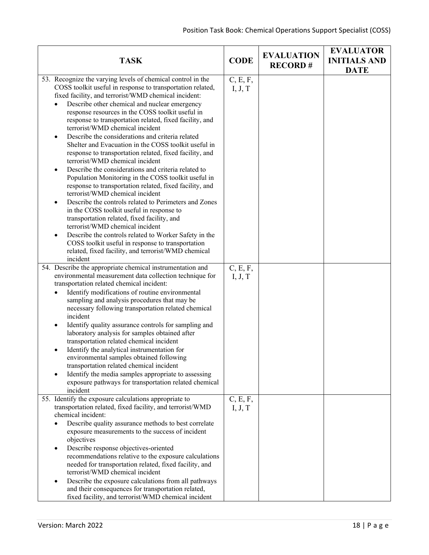| <b>TASK</b>                                                                                                                                                                                                                                                                                                                                                                                                                                                                                                                                                                                                                                                                                                                                                                                                                                                                                                                                                                                                                                                                                                                                                                                      | <b>CODE</b>         | <b>EVALUATION</b><br><b>RECORD#</b> | <b>EVALUATOR</b><br><b>INITIALS AND</b><br><b>DATE</b> |
|--------------------------------------------------------------------------------------------------------------------------------------------------------------------------------------------------------------------------------------------------------------------------------------------------------------------------------------------------------------------------------------------------------------------------------------------------------------------------------------------------------------------------------------------------------------------------------------------------------------------------------------------------------------------------------------------------------------------------------------------------------------------------------------------------------------------------------------------------------------------------------------------------------------------------------------------------------------------------------------------------------------------------------------------------------------------------------------------------------------------------------------------------------------------------------------------------|---------------------|-------------------------------------|--------------------------------------------------------|
| 53. Recognize the varying levels of chemical control in the<br>COSS toolkit useful in response to transportation related,<br>fixed facility, and terrorist/WMD chemical incident:<br>Describe other chemical and nuclear emergency<br>response resources in the COSS toolkit useful in<br>response to transportation related, fixed facility, and<br>terrorist/WMD chemical incident<br>Describe the considerations and criteria related<br>Shelter and Evacuation in the COSS toolkit useful in<br>response to transportation related, fixed facility, and<br>terrorist/WMD chemical incident<br>Describe the considerations and criteria related to<br>Population Monitoring in the COSS toolkit useful in<br>response to transportation related, fixed facility, and<br>terrorist/WMD chemical incident<br>Describe the controls related to Perimeters and Zones<br>$\bullet$<br>in the COSS toolkit useful in response to<br>transportation related, fixed facility, and<br>terrorist/WMD chemical incident<br>Describe the controls related to Worker Safety in the<br>COSS toolkit useful in response to transportation<br>related, fixed facility, and terrorist/WMD chemical<br>incident | C, E, F,<br>I, J, T |                                     |                                                        |
| 54. Describe the appropriate chemical instrumentation and<br>environmental measurement data collection technique for<br>transportation related chemical incident:<br>Identify modifications of routine environmental<br>sampling and analysis procedures that may be<br>necessary following transportation related chemical<br>incident<br>Identify quality assurance controls for sampling and<br>٠<br>laboratory analysis for samples obtained after<br>transportation related chemical incident<br>Identify the analytical instrumentation for<br>environmental samples obtained following<br>transportation related chemical incident<br>Identify the media samples appropriate to assessing<br>exposure pathways for transportation related chemical<br>incident                                                                                                                                                                                                                                                                                                                                                                                                                            | C, E, F,<br>I, J, T |                                     |                                                        |
| 55. Identify the exposure calculations appropriate to<br>transportation related, fixed facility, and terrorist/WMD<br>chemical incident:<br>Describe quality assurance methods to best correlate<br>exposure measurements to the success of incident<br>objectives<br>Describe response objectives-oriented<br>recommendations relative to the exposure calculations<br>needed for transportation related, fixed facility, and<br>terrorist/WMD chemical incident<br>Describe the exposure calculations from all pathways<br>and their consequences for transportation related,<br>fixed facility, and terrorist/WMD chemical incident                                                                                                                                                                                                                                                                                                                                                                                                                                                                                                                                                           | C, E, F,<br>I, J, T |                                     |                                                        |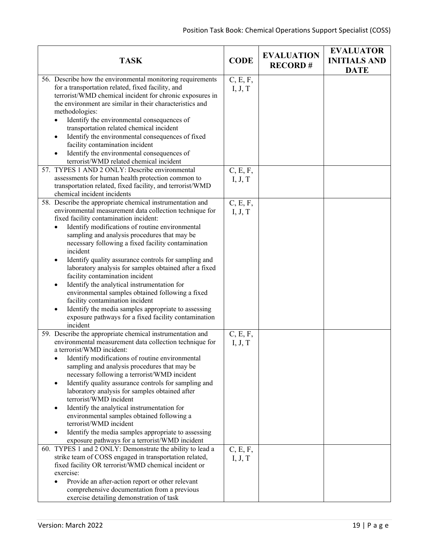| <b>TASK</b>                                                                                                                                                                                                                                                                                                                                                                                                                                                                                                                                                                                                                                                                                                                                                                                                                                             | <b>CODE</b>                                | <b>EVALUATION</b><br><b>RECORD#</b> | <b>EVALUATOR</b><br><b>INITIALS AND</b><br><b>DATE</b> |
|---------------------------------------------------------------------------------------------------------------------------------------------------------------------------------------------------------------------------------------------------------------------------------------------------------------------------------------------------------------------------------------------------------------------------------------------------------------------------------------------------------------------------------------------------------------------------------------------------------------------------------------------------------------------------------------------------------------------------------------------------------------------------------------------------------------------------------------------------------|--------------------------------------------|-------------------------------------|--------------------------------------------------------|
| 56. Describe how the environmental monitoring requirements<br>for a transportation related, fixed facility, and<br>terrorist/WMD chemical incident for chronic exposures in<br>the environment are similar in their characteristics and<br>methodologies:<br>Identify the environmental consequences of<br>transportation related chemical incident<br>Identify the environmental consequences of fixed<br>facility contamination incident<br>Identify the environmental consequences of<br>terrorist/WMD related chemical incident<br>57. TYPES 1 AND 2 ONLY: Describe environmental<br>assessments for human health protection common to                                                                                                                                                                                                              | C, E, F,<br>I, J, T<br>C, E, F,            |                                     |                                                        |
| transportation related, fixed facility, and terrorist/WMD<br>chemical incident incidents                                                                                                                                                                                                                                                                                                                                                                                                                                                                                                                                                                                                                                                                                                                                                                | I, J, T                                    |                                     |                                                        |
| 58. Describe the appropriate chemical instrumentation and<br>environmental measurement data collection technique for<br>fixed facility contamination incident:<br>Identify modifications of routine environmental<br>sampling and analysis procedures that may be<br>necessary following a fixed facility contamination<br>incident<br>Identify quality assurance controls for sampling and<br>laboratory analysis for samples obtained after a fixed<br>facility contamination incident<br>Identify the analytical instrumentation for<br>environmental samples obtained following a fixed<br>facility contamination incident<br>Identify the media samples appropriate to assessing<br>exposure pathways for a fixed facility contamination<br>incident                                                                                               | C, E, F,<br>I, J, T                        |                                     |                                                        |
| 59. Describe the appropriate chemical instrumentation and<br>environmental measurement data collection technique for<br>a terrorist/WMD incident:<br>Identify modifications of routine environmental<br>sampling and analysis procedures that may be<br>necessary following a terrorist/WMD incident<br>Identify quality assurance controls for sampling and<br>laboratory analysis for samples obtained after<br>terrorist/WMD incident<br>Identify the analytical instrumentation for<br>environmental samples obtained following a<br>terrorist/WMD incident<br>Identify the media samples appropriate to assessing<br>exposure pathways for a terrorist/WMD incident<br>60. TYPES 1 and 2 ONLY: Demonstrate the ability to lead a<br>strike team of COSS engaged in transportation related,<br>fixed facility OR terrorist/WMD chemical incident or | C, E, F,<br>I, J, T<br>C, E, F,<br>I, J, T |                                     |                                                        |
| exercise:<br>Provide an after-action report or other relevant<br>comprehensive documentation from a previous<br>exercise detailing demonstration of task                                                                                                                                                                                                                                                                                                                                                                                                                                                                                                                                                                                                                                                                                                |                                            |                                     |                                                        |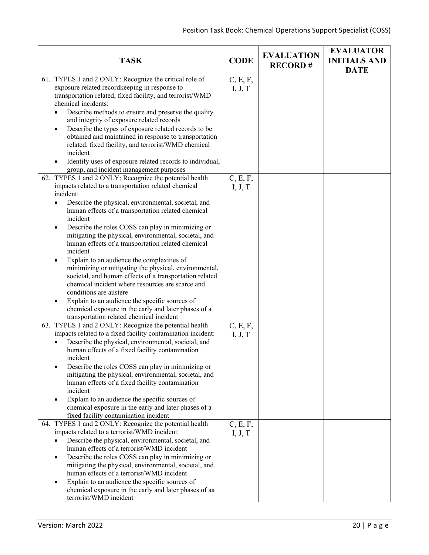| <b>TASK</b>                                                                                                 | <b>CODE</b> | <b>EVALUATION</b><br><b>RECORD#</b> | <b>EVALUATOR</b><br><b>INITIALS AND</b><br><b>DATE</b> |
|-------------------------------------------------------------------------------------------------------------|-------------|-------------------------------------|--------------------------------------------------------|
| 61. TYPES 1 and 2 ONLY: Recognize the critical role of                                                      | C, E, F,    |                                     |                                                        |
| exposure related recordkeeping in response to                                                               | I, J, T     |                                     |                                                        |
| transportation related, fixed facility, and terrorist/WMD                                                   |             |                                     |                                                        |
| chemical incidents:                                                                                         |             |                                     |                                                        |
| Describe methods to ensure and preserve the quality                                                         |             |                                     |                                                        |
| and integrity of exposure related records                                                                   |             |                                     |                                                        |
| Describe the types of exposure related records to be                                                        |             |                                     |                                                        |
| obtained and maintained in response to transportation                                                       |             |                                     |                                                        |
| related, fixed facility, and terrorist/WMD chemical                                                         |             |                                     |                                                        |
| incident                                                                                                    |             |                                     |                                                        |
| Identify uses of exposure related records to individual,                                                    |             |                                     |                                                        |
| group, and incident management purposes                                                                     |             |                                     |                                                        |
| 62. TYPES 1 and 2 ONLY: Recognize the potential health                                                      | C, E, F,    |                                     |                                                        |
| impacts related to a transportation related chemical                                                        | I, J, T     |                                     |                                                        |
| incident:                                                                                                   |             |                                     |                                                        |
| Describe the physical, environmental, societal, and<br>$\bullet$                                            |             |                                     |                                                        |
| human effects of a transportation related chemical                                                          |             |                                     |                                                        |
| incident                                                                                                    |             |                                     |                                                        |
| Describe the roles COSS can play in minimizing or<br>$\bullet$                                              |             |                                     |                                                        |
| mitigating the physical, environmental, societal, and<br>human effects of a transportation related chemical |             |                                     |                                                        |
| incident                                                                                                    |             |                                     |                                                        |
| Explain to an audience the complexities of                                                                  |             |                                     |                                                        |
| minimizing or mitigating the physical, environmental,                                                       |             |                                     |                                                        |
| societal, and human effects of a transportation related                                                     |             |                                     |                                                        |
| chemical incident where resources are scarce and                                                            |             |                                     |                                                        |
| conditions are austere                                                                                      |             |                                     |                                                        |
| Explain to an audience the specific sources of                                                              |             |                                     |                                                        |
| chemical exposure in the early and later phases of a                                                        |             |                                     |                                                        |
| transportation related chemical incident                                                                    |             |                                     |                                                        |
| 63. TYPES 1 and 2 ONLY: Recognize the potential health                                                      | C, E, F,    |                                     |                                                        |
| impacts related to a fixed facility contamination incident:                                                 | I, J, T     |                                     |                                                        |
| Describe the physical, environmental, societal, and                                                         |             |                                     |                                                        |
| human effects of a fixed facility contamination                                                             |             |                                     |                                                        |
| incident                                                                                                    |             |                                     |                                                        |
| Describe the roles COSS can play in minimizing or                                                           |             |                                     |                                                        |
| mitigating the physical, environmental, societal, and                                                       |             |                                     |                                                        |
| human effects of a fixed facility contamination                                                             |             |                                     |                                                        |
| incident                                                                                                    |             |                                     |                                                        |
| Explain to an audience the specific sources of<br>chemical exposure in the early and later phases of a      |             |                                     |                                                        |
| fixed facility contamination incident                                                                       |             |                                     |                                                        |
| 64. TYPES 1 and 2 ONLY: Recognize the potential health                                                      | C, E, F,    |                                     |                                                        |
| impacts related to a terrorist/WMD incident:                                                                | I, J, T     |                                     |                                                        |
| Describe the physical, environmental, societal, and                                                         |             |                                     |                                                        |
| human effects of a terrorist/WMD incident                                                                   |             |                                     |                                                        |
| Describe the roles COSS can play in minimizing or                                                           |             |                                     |                                                        |
| mitigating the physical, environmental, societal, and                                                       |             |                                     |                                                        |
| human effects of a terrorist/WMD incident                                                                   |             |                                     |                                                        |
| Explain to an audience the specific sources of                                                              |             |                                     |                                                        |
| chemical exposure in the early and later phases of aa                                                       |             |                                     |                                                        |
| terrorist/WMD incident                                                                                      |             |                                     |                                                        |